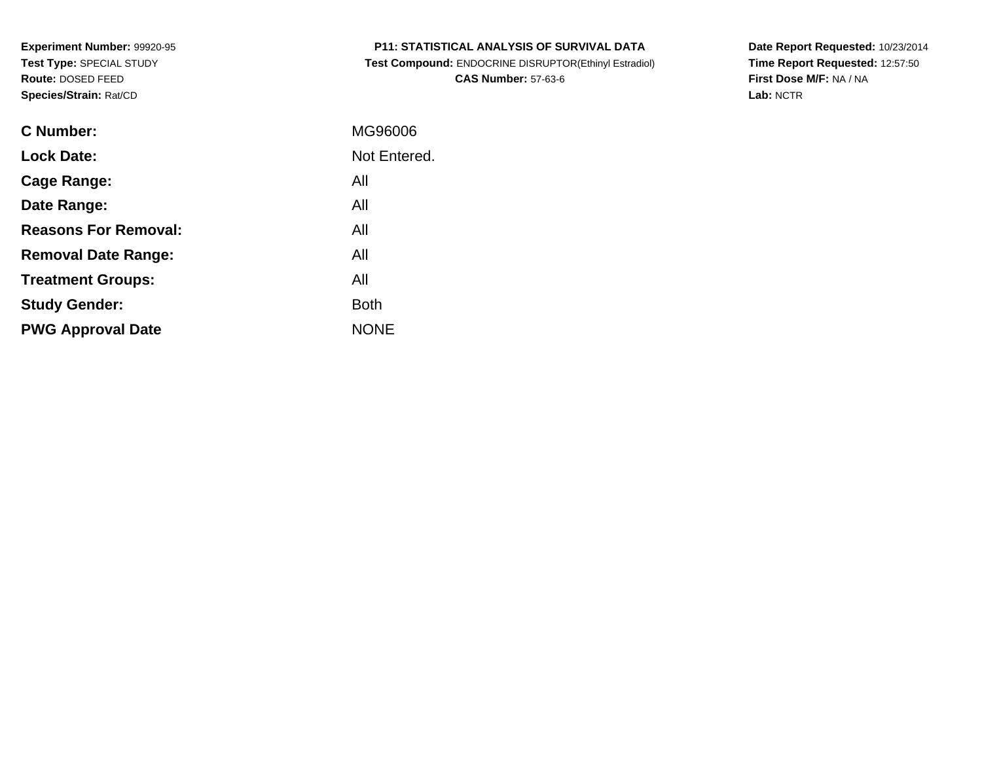| <b>P11: STATISTICAL ANALYSIS OF SURVIVAL DATA</b> |
|---------------------------------------------------|
|---------------------------------------------------|

 **Test Compound:** ENDOCRINE DISRUPTOR(Ethinyl Estradiol)**CAS Number:** 57-63-6

**Date Report Requested:** 10/23/2014 **Time Report Requested:** 12:57:50**First Dose M/F:** NA / NA**Lab:** NCTR

| C Number:                   | MG96006      |
|-----------------------------|--------------|
| <b>Lock Date:</b>           | Not Entered. |
| Cage Range:                 | All          |
| Date Range:                 | All          |
| <b>Reasons For Removal:</b> | All          |
| <b>Removal Date Range:</b>  | All          |
| <b>Treatment Groups:</b>    | All          |
| <b>Study Gender:</b>        | <b>Both</b>  |
| <b>PWG Approval Date</b>    | <b>NONE</b>  |
|                             |              |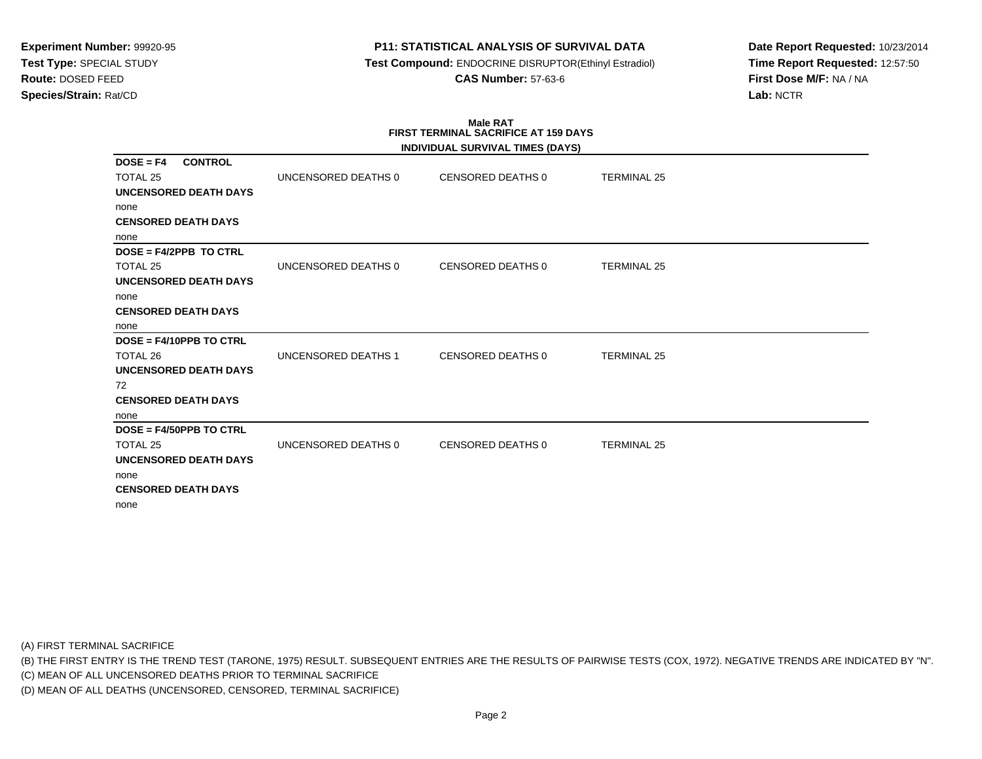# **P11: STATISTICAL ANALYSIS OF SURVIVAL DATA**

 **Test Compound:** ENDOCRINE DISRUPTOR(Ethinyl Estradiol)**CAS Number:** 57-63-6

**Date Report Requested:** 10/23/2014**Time Report Requested:** 12:57:50**First Dose M/F:** NA / NA**Lab:** NCTR

#### **Male RAT FIRST TERMINAL SACRIFICE AT 159 DAYSINDIVIDUAL SURVIVAL TIMES (DAYS)**

|                                                  |                     | INDIVIDUAL SURVIVAL TIMES (DATS) |                    |  |
|--------------------------------------------------|---------------------|----------------------------------|--------------------|--|
| <b>CONTROL</b><br>$DOSE = F4$<br><b>TOTAL 25</b> | UNCENSORED DEATHS 0 | CENSORED DEATHS 0                | <b>TERMINAL 25</b> |  |
| UNCENSORED DEATH DAYS                            |                     |                                  |                    |  |
| none                                             |                     |                                  |                    |  |
| <b>CENSORED DEATH DAYS</b>                       |                     |                                  |                    |  |
| none                                             |                     |                                  |                    |  |
| DOSE = F4/2PPB TO CTRL                           |                     |                                  |                    |  |
| TOTAL 25                                         | UNCENSORED DEATHS 0 | CENSORED DEATHS 0                | <b>TERMINAL 25</b> |  |
| <b>UNCENSORED DEATH DAYS</b>                     |                     |                                  |                    |  |
| none                                             |                     |                                  |                    |  |
| <b>CENSORED DEATH DAYS</b>                       |                     |                                  |                    |  |
| none                                             |                     |                                  |                    |  |
| $DOSE = F4/10PPB TO CTRL$                        |                     |                                  |                    |  |
| TOTAL 26                                         | UNCENSORED DEATHS 1 | <b>CENSORED DEATHS 0</b>         | <b>TERMINAL 25</b> |  |
| <b>UNCENSORED DEATH DAYS</b>                     |                     |                                  |                    |  |
| 72                                               |                     |                                  |                    |  |
| <b>CENSORED DEATH DAYS</b>                       |                     |                                  |                    |  |
| none                                             |                     |                                  |                    |  |
| $DOSE = F4/50PPB TO CTRL$                        |                     |                                  |                    |  |
| TOTAL 25                                         | UNCENSORED DEATHS 0 | <b>CENSORED DEATHS 0</b>         | <b>TERMINAL 25</b> |  |
| <b>UNCENSORED DEATH DAYS</b>                     |                     |                                  |                    |  |
| none                                             |                     |                                  |                    |  |
| <b>CENSORED DEATH DAYS</b>                       |                     |                                  |                    |  |
| none                                             |                     |                                  |                    |  |

(A) FIRST TERMINAL SACRIFICE

(B) THE FIRST ENTRY IS THE TREND TEST (TARONE, 1975) RESULT. SUBSEQUENT ENTRIES ARE THE RESULTS OF PAIRWISE TESTS (COX, 1972). NEGATIVE TRENDS ARE INDICATED BY "N".

(C) MEAN OF ALL UNCENSORED DEATHS PRIOR TO TERMINAL SACRIFICE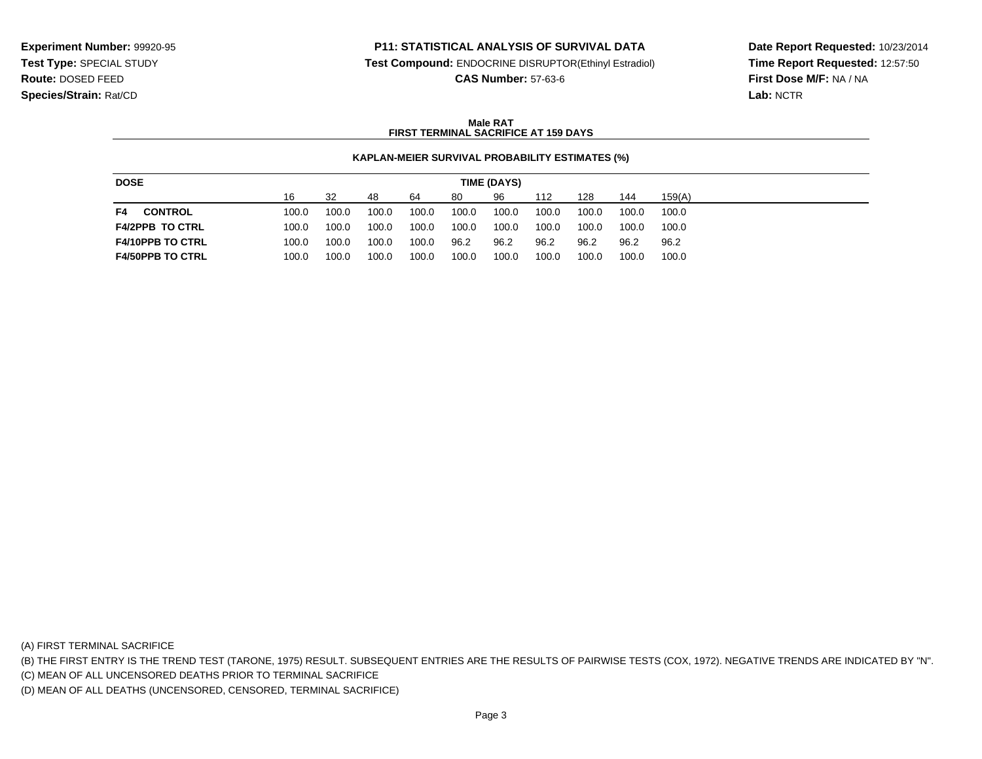### **P11: STATISTICAL ANALYSIS OF SURVIVAL DATA**

**Test Compound:** ENDOCRINE DISRUPTOR(Ethinyl Estradiol)

**CAS Number:** 57-63-6

**Date Report Requested:** 10/23/2014**Time Report Requested:** 12:57:50**First Dose M/F:** NA / NA**Lab:** NCTR

### **Male RATFIRST TERMINAL SACRIFICE AT 159 DAYS**

#### **KAPLAN-MEIER SURVIVAL PROBABILITY ESTIMATES (%)**

| <b>DOSE</b>             | TIME (DAYS) |       |       |       |       |       |       |       |       |        |
|-------------------------|-------------|-------|-------|-------|-------|-------|-------|-------|-------|--------|
|                         | 16          | 32    | 48    | 64    | 80    | 96    | 112   | 128   | 144   | 159(A) |
| <b>CONTROL</b><br>F4    | 100.0       | 100.0 | 100.0 | 100.0 | 100.0 | 100.0 | 100.0 | 100.0 | 100.0 | 100.0  |
| <b>F4/2PPB TO CTRL</b>  | 100.0       | 100.0 | 100.0 | 100.0 | 100.0 | 100.0 | 100.0 | 100.0 | 100.0 | 100.0  |
| <b>F4/10PPB TO CTRL</b> | 100.0       | 100.0 | 100.0 | 100.0 | 96.2  | 96.2  | 96.2  | 96.2  | 96.2  | 96.2   |
| <b>F4/50PPB TO CTRL</b> | 100.0       | 100.0 | 100.0 | 100.0 | 100.0 | 100.0 | 100.0 | 100.0 | 100.0 | 100.0  |

(A) FIRST TERMINAL SACRIFICE

(B) THE FIRST ENTRY IS THE TREND TEST (TARONE, 1975) RESULT. SUBSEQUENT ENTRIES ARE THE RESULTS OF PAIRWISE TESTS (COX, 1972). NEGATIVE TRENDS ARE INDICATED BY "N".

(C) MEAN OF ALL UNCENSORED DEATHS PRIOR TO TERMINAL SACRIFICE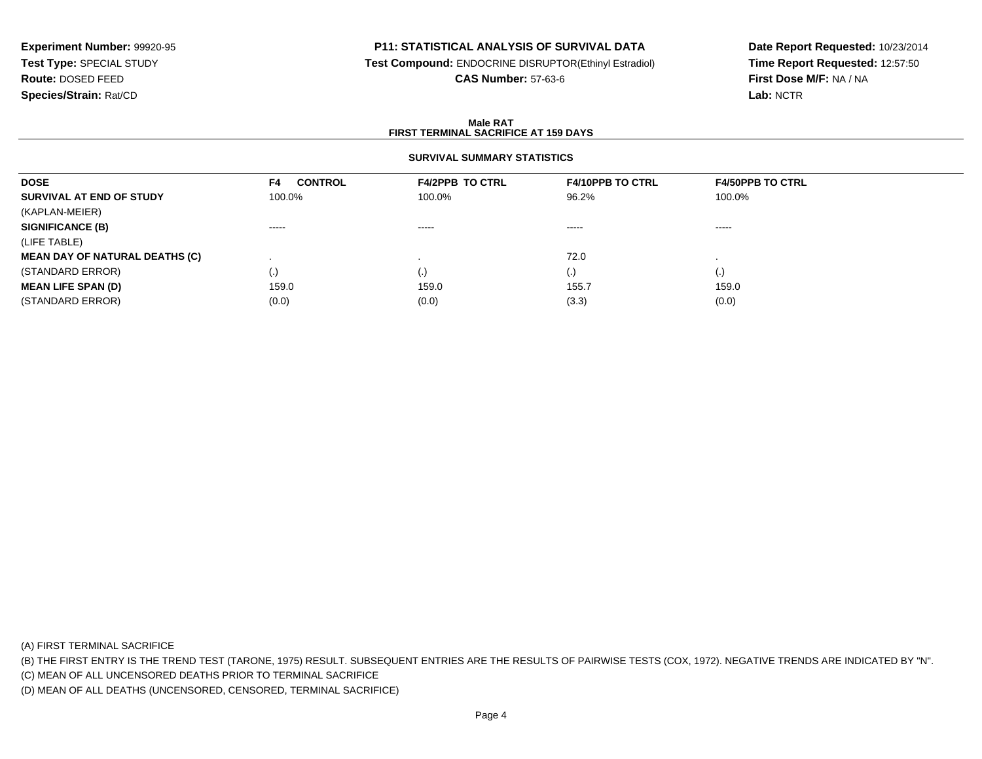# **P11: STATISTICAL ANALYSIS OF SURVIVAL DATA**

**Test Compound:** ENDOCRINE DISRUPTOR(Ethinyl Estradiol)

**CAS Number:** 57-63-6

**Date Report Requested:** 10/23/2014**Time Report Requested:** 12:57:50**First Dose M/F:** NA / NA**Lab:** NCTR

#### **Male RATFIRST TERMINAL SACRIFICE AT 159 DAYS**

# **SURVIVAL SUMMARY STATISTICS**

| <b>DOSE</b>                           | <b>CONTROL</b><br>F4 | <b>F4/2PPB TO CTRL</b> | <b>F4/10PPB TO CTRL</b> | <b>F4/50PPB TO CTRL</b> |
|---------------------------------------|----------------------|------------------------|-------------------------|-------------------------|
| SURVIVAL AT END OF STUDY              | 100.0%               | 100.0%                 | 96.2%                   | 100.0%                  |
| (KAPLAN-MEIER)                        |                      |                        |                         |                         |
| <b>SIGNIFICANCE (B)</b>               | $\cdots$             | $\cdots$               | $\cdots$                | $\cdots$                |
| (LIFE TABLE)                          |                      |                        |                         |                         |
| <b>MEAN DAY OF NATURAL DEATHS (C)</b> |                      |                        | 72.0                    |                         |
| (STANDARD ERROR)                      | (.)                  | (.)                    | $\cdot$                 | (.)                     |
| <b>MEAN LIFE SPAN (D)</b>             | 159.0                | 159.0                  | 155.7                   | 159.0                   |
| (STANDARD ERROR)                      | (0.0)                | (0.0)                  | (3.3)                   | (0.0)                   |

(A) FIRST TERMINAL SACRIFICE

(B) THE FIRST ENTRY IS THE TREND TEST (TARONE, 1975) RESULT. SUBSEQUENT ENTRIES ARE THE RESULTS OF PAIRWISE TESTS (COX, 1972). NEGATIVE TRENDS ARE INDICATED BY "N".

(C) MEAN OF ALL UNCENSORED DEATHS PRIOR TO TERMINAL SACRIFICE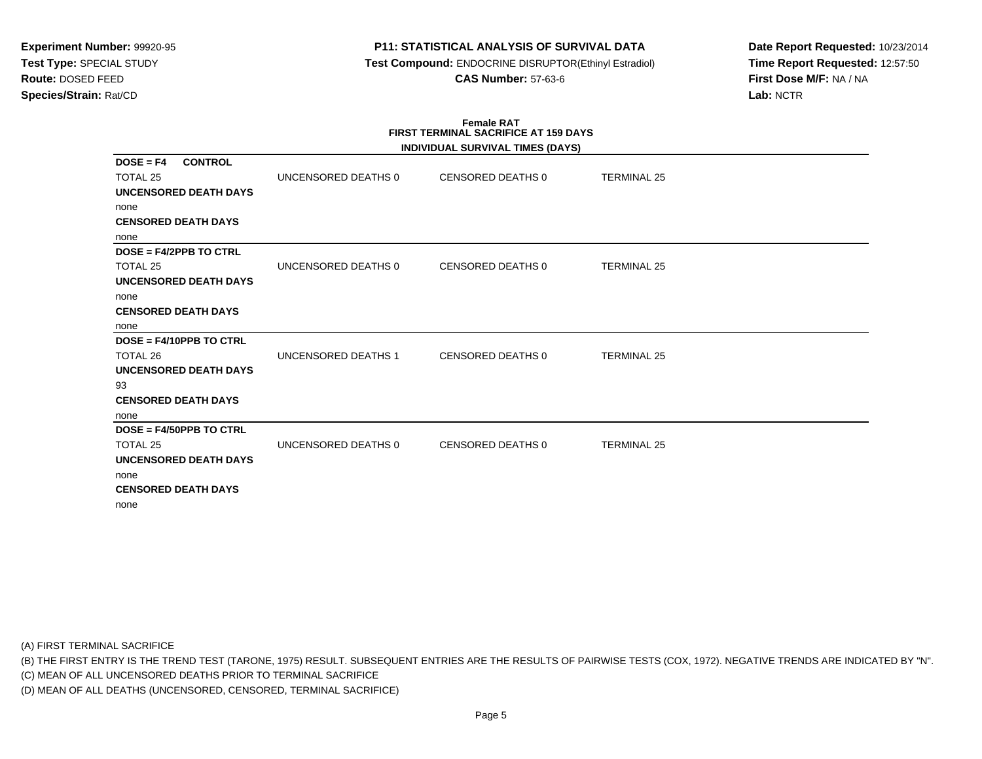# **P11: STATISTICAL ANALYSIS OF SURVIVAL DATA**

 **Test Compound:** ENDOCRINE DISRUPTOR(Ethinyl Estradiol)**CAS Number:** 57-63-6

**Date Report Requested:** 10/23/2014**Time Report Requested:** 12:57:50**First Dose M/F:** NA / NA**Lab:** NCTR

#### **Female RAT FIRST TERMINAL SACRIFICE AT 159 DAYSINDIVIDUAL SURVIVAL TIMES (DAYS)**

|                               |                     | INDIVIDUAL SURVIVAL TIMES (DAYS) |                    |  |
|-------------------------------|---------------------|----------------------------------|--------------------|--|
| <b>CONTROL</b><br>$DOSE = F4$ |                     |                                  |                    |  |
| <b>TOTAL 25</b>               | UNCENSORED DEATHS 0 | CENSORED DEATHS 0                | <b>TERMINAL 25</b> |  |
| UNCENSORED DEATH DAYS         |                     |                                  |                    |  |
| none                          |                     |                                  |                    |  |
| <b>CENSORED DEATH DAYS</b>    |                     |                                  |                    |  |
| none                          |                     |                                  |                    |  |
| $DOSE = F4/2PPB TO CTRL$      |                     |                                  |                    |  |
| <b>TOTAL 25</b>               | UNCENSORED DEATHS 0 | CENSORED DEATHS 0                | <b>TERMINAL 25</b> |  |
| <b>UNCENSORED DEATH DAYS</b>  |                     |                                  |                    |  |
| none                          |                     |                                  |                    |  |
| <b>CENSORED DEATH DAYS</b>    |                     |                                  |                    |  |
| none                          |                     |                                  |                    |  |
| $DOSE = F4/10PPB TO CTRL$     |                     |                                  |                    |  |
| TOTAL 26                      | UNCENSORED DEATHS 1 | CENSORED DEATHS 0                | <b>TERMINAL 25</b> |  |
| <b>UNCENSORED DEATH DAYS</b>  |                     |                                  |                    |  |
| 93                            |                     |                                  |                    |  |
| <b>CENSORED DEATH DAYS</b>    |                     |                                  |                    |  |
| none                          |                     |                                  |                    |  |
| DOSE = F4/50PPB TO CTRL       |                     |                                  |                    |  |
| TOTAL 25                      | UNCENSORED DEATHS 0 | CENSORED DEATHS 0                | <b>TERMINAL 25</b> |  |
| UNCENSORED DEATH DAYS         |                     |                                  |                    |  |
| none                          |                     |                                  |                    |  |
| <b>CENSORED DEATH DAYS</b>    |                     |                                  |                    |  |
| none                          |                     |                                  |                    |  |
|                               |                     |                                  |                    |  |

(A) FIRST TERMINAL SACRIFICE

(B) THE FIRST ENTRY IS THE TREND TEST (TARONE, 1975) RESULT. SUBSEQUENT ENTRIES ARE THE RESULTS OF PAIRWISE TESTS (COX, 1972). NEGATIVE TRENDS ARE INDICATED BY "N".

(C) MEAN OF ALL UNCENSORED DEATHS PRIOR TO TERMINAL SACRIFICE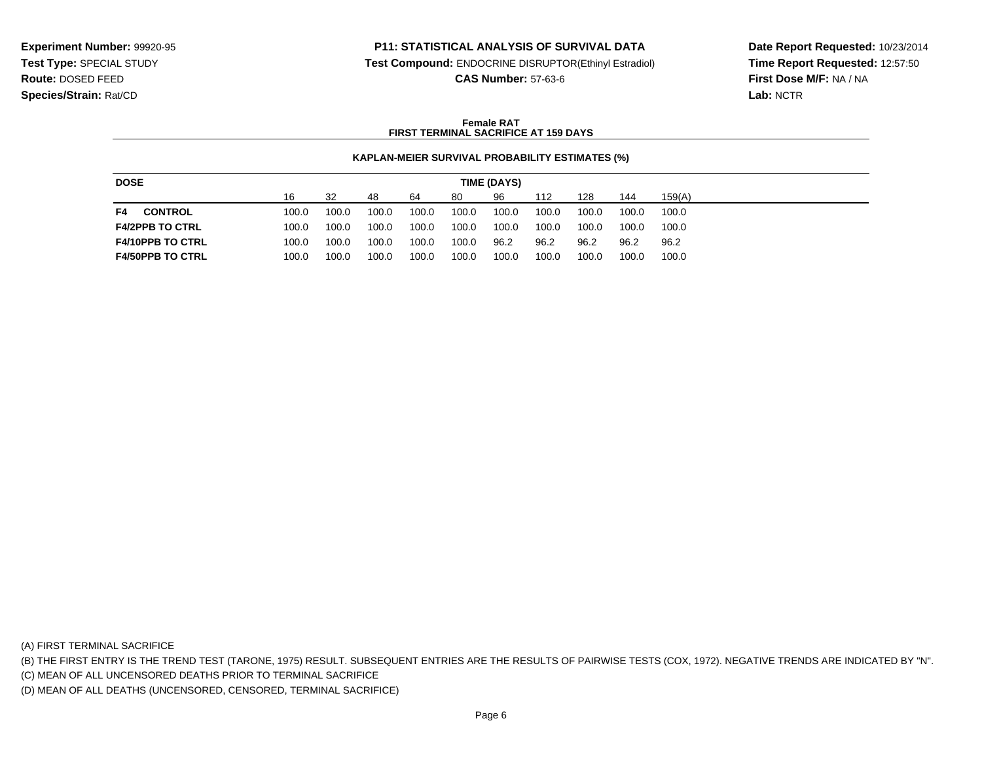### **P11: STATISTICAL ANALYSIS OF SURVIVAL DATA**

**Test Compound:** ENDOCRINE DISRUPTOR(Ethinyl Estradiol)

**CAS Number:** 57-63-6

**Date Report Requested:** 10/23/2014**Time Report Requested:** 12:57:50**First Dose M/F:** NA / NA**Lab:** NCTR

### **Female RATFIRST TERMINAL SACRIFICE AT 159 DAYS**

#### **KAPLAN-MEIER SURVIVAL PROBABILITY ESTIMATES (%)**

| <b>DOSE</b>             | TIME (DAYS) |       |       |       |       |       |       |       |       |        |
|-------------------------|-------------|-------|-------|-------|-------|-------|-------|-------|-------|--------|
|                         | 16          | 32    | 48    | 64    | 80    | 96    | 112   | 128   | 144   | 159(A) |
| <b>CONTROL</b><br>F4    | 100.0       | 100.0 | 100.0 | 100.0 | 100.0 | 100.0 | 100.0 | 100.0 | 100.0 | 100.0  |
| <b>F4/2PPB TO CTRL</b>  | 100.0       | 100.0 | 100.0 | 100.0 | 100.0 | 100.0 | 100.0 | 100.0 | 100.0 | 100.0  |
| <b>F4/10PPB TO CTRL</b> | 100.0       | 100.0 | 100.0 | 100.0 | 100.0 | 96.2  | 96.2  | 96.2  | 96.2  | 96.2   |
| <b>F4/50PPB TO CTRL</b> | 100.0       | 100.0 | 100.0 | 100.0 | 100.0 | 100.0 | 100.0 | 100.0 | 100.0 | 100.0  |

(A) FIRST TERMINAL SACRIFICE

(B) THE FIRST ENTRY IS THE TREND TEST (TARONE, 1975) RESULT. SUBSEQUENT ENTRIES ARE THE RESULTS OF PAIRWISE TESTS (COX, 1972). NEGATIVE TRENDS ARE INDICATED BY "N".

(C) MEAN OF ALL UNCENSORED DEATHS PRIOR TO TERMINAL SACRIFICE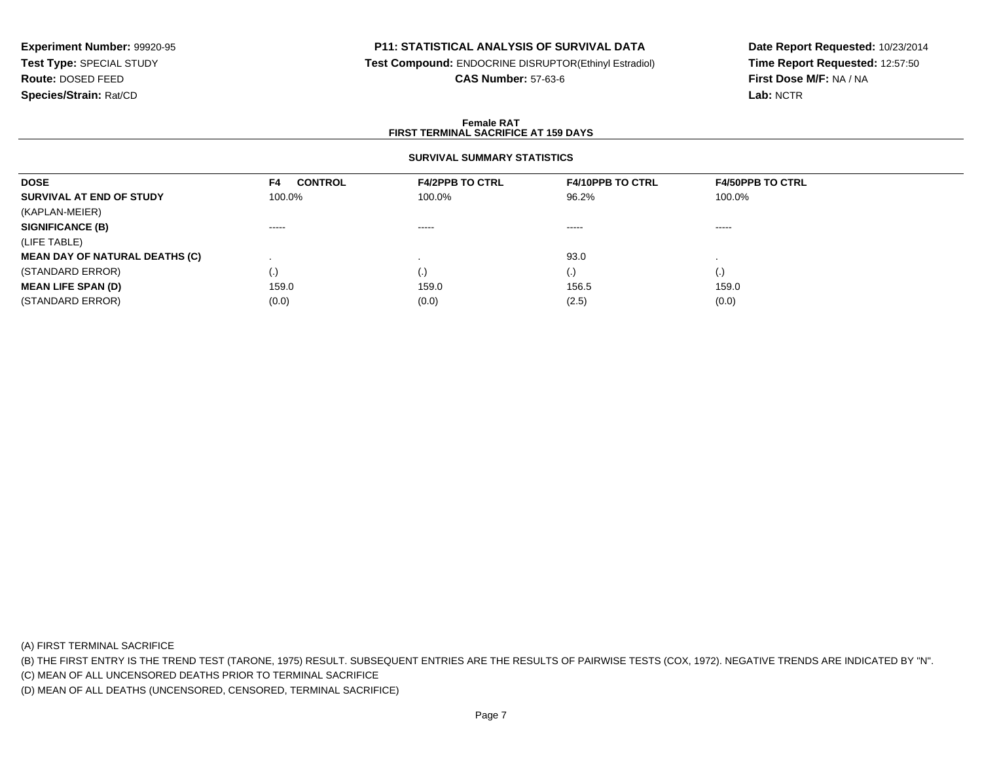### **P11: STATISTICAL ANALYSIS OF SURVIVAL DATA**

**Test Compound:** ENDOCRINE DISRUPTOR(Ethinyl Estradiol)

**CAS Number:** 57-63-6

**Date Report Requested:** 10/23/2014**Time Report Requested:** 12:57:50**First Dose M/F:** NA / NA**Lab:** NCTR

#### **Female RATFIRST TERMINAL SACRIFICE AT 159 DAYS**

## **SURVIVAL SUMMARY STATISTICS**

| <b>DOSE</b>                           | <b>CONTROL</b><br>F4 | <b>F4/2PPB TO CTRL</b>                                                                                                                                                                                                                                                                                                                                                                                                                                                                 | <b>F4/10PPB TO CTRL</b> | <b>F4/50PPB TO CTRL</b> |
|---------------------------------------|----------------------|----------------------------------------------------------------------------------------------------------------------------------------------------------------------------------------------------------------------------------------------------------------------------------------------------------------------------------------------------------------------------------------------------------------------------------------------------------------------------------------|-------------------------|-------------------------|
| SURVIVAL AT END OF STUDY              | 100.0%               | 100.0%                                                                                                                                                                                                                                                                                                                                                                                                                                                                                 | 96.2%                   | 100.0%                  |
| (KAPLAN-MEIER)                        |                      |                                                                                                                                                                                                                                                                                                                                                                                                                                                                                        |                         |                         |
| <b>SIGNIFICANCE (B)</b>               | $- - - - -$          | $\begin{array}{cccccccccccccc} \multicolumn{2}{c}{} & \multicolumn{2}{c}{} & \multicolumn{2}{c}{} & \multicolumn{2}{c}{} & \multicolumn{2}{c}{} & \multicolumn{2}{c}{} & \multicolumn{2}{c}{} & \multicolumn{2}{c}{} & \multicolumn{2}{c}{} & \multicolumn{2}{c}{} & \multicolumn{2}{c}{} & \multicolumn{2}{c}{} & \multicolumn{2}{c}{} & \multicolumn{2}{c}{} & \multicolumn{2}{c}{} & \multicolumn{2}{c}{} & \multicolumn{2}{c}{} & \multicolumn{2}{c}{} & \multicolumn{2}{c}{} & \$ | $\cdots$                | $\cdots$                |
| (LIFE TABLE)                          |                      |                                                                                                                                                                                                                                                                                                                                                                                                                                                                                        |                         |                         |
| <b>MEAN DAY OF NATURAL DEATHS (C)</b> |                      |                                                                                                                                                                                                                                                                                                                                                                                                                                                                                        | 93.0                    |                         |
| (STANDARD ERROR)                      | $\left( . \right)$   |                                                                                                                                                                                                                                                                                                                                                                                                                                                                                        | $\left(\cdot\right)$    | $\cdot$                 |
| <b>MEAN LIFE SPAN (D)</b>             | 159.0                | 159.0                                                                                                                                                                                                                                                                                                                                                                                                                                                                                  | 156.5                   | 159.0                   |
| (STANDARD ERROR)                      | (0.0)                | (0.0)                                                                                                                                                                                                                                                                                                                                                                                                                                                                                  | (2.5)                   | (0.0)                   |

(A) FIRST TERMINAL SACRIFICE

(B) THE FIRST ENTRY IS THE TREND TEST (TARONE, 1975) RESULT. SUBSEQUENT ENTRIES ARE THE RESULTS OF PAIRWISE TESTS (COX, 1972). NEGATIVE TRENDS ARE INDICATED BY "N".

(C) MEAN OF ALL UNCENSORED DEATHS PRIOR TO TERMINAL SACRIFICE